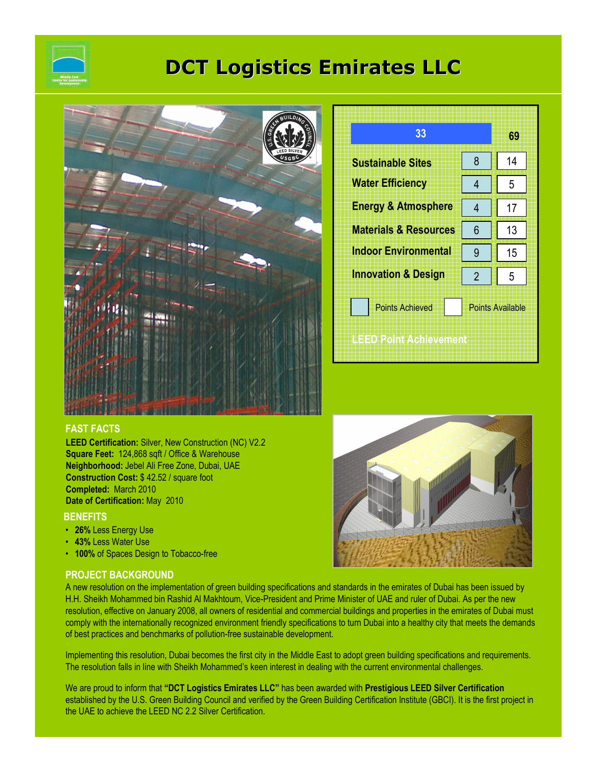

# DCT Logistics Emirates LLC



| 33                               |                         | 69 |
|----------------------------------|-------------------------|----|
| <b>Sustainable Sites</b>         | 8                       | 14 |
| <b>Water Efficiency</b>          | 4                       | 5  |
| <b>Energy &amp; Atmosphere</b>   | 4                       | 17 |
| <b>Materials &amp; Resources</b> | 6                       | 13 |
| <b>Indoor Environmental</b>      | 9                       | 15 |
| <b>Innovation &amp; Design</b>   | $\overline{2}$          | 5  |
| <b>Points Achieved</b>           | <b>Points Available</b> |    |
| <b>LEED Point Achievement</b>    |                         |    |

# FAST FACTS

LEED Certification: Silver, New Construction (NC) V2.2 Square Feet: 124,868 sqft / Office & Warehouse Neighborhood: Jebel Ali Free Zone, Dubai, UAE Construction Cost: \$ 42.52 / square foot Completed: March 2010 Date of Certification: May 2010

# **BENEFITS**

- 26% Less Energy Use
- 43% Less Water Use
- 100% of Spaces Design to Tobacco-free

# PROJECT BACKGROUND

A new resolution on the implementation of green building specifications and standards in the emirates of Dubai has been issued by H.H. Sheikh Mohammed bin Rashid Al Makhtoum, Vice-President and Prime Minister of UAE and ruler of Dubai. As per the new resolution, effective on January 2008, all owners of residential and commercial buildings and properties in the emirates of Dubai must comply with the internationally recognized environment friendly specifications to turn Dubai into a healthy city that meets the demands of best practices and benchmarks of pollution-free sustainable development.

Implementing this resolution, Dubai becomes the first city in the Middle East to adopt green building specifications and requirements. The resolution falls in line with Sheikh Mohammed's keen interest in dealing with the current environmental challenges.

We are proud to inform that "DCT Logistics Emirates LLC" has been awarded with Prestigious LEED Silver Certification established by the U.S. Green Building Council and verified by the Green Building Certification Institute (GBCI). It is the first project in the UAE to achieve the LEED NC 2.2 Silver Certification.